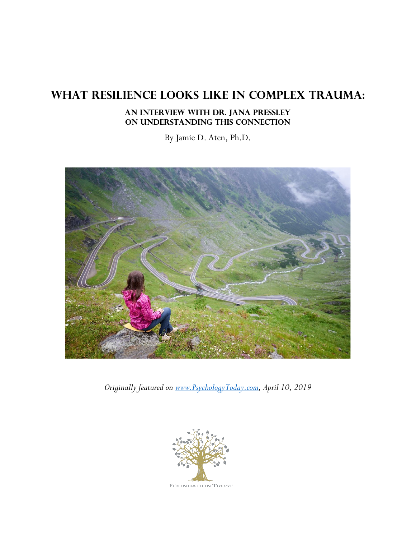# **What Resilience Looks Like in Complex Trauma:**

## **An interview with Dr. Jana Pressley on understanding this connection**

By Jamie D. Aten, Ph.D.



*Originally featured on [www.PsychologyToday.com,](http://www.psychologytoday.com/) April 10, 2019*

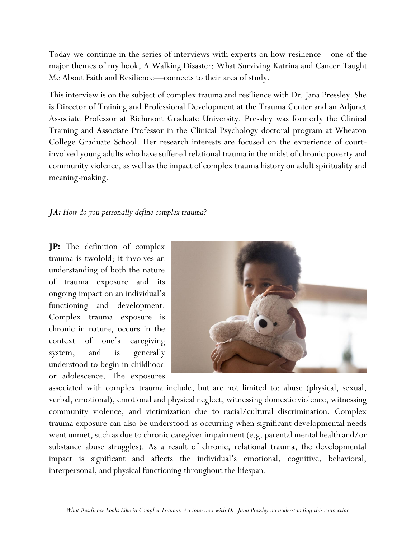Today we continue in the series of interviews with experts on how resilience—one of the major themes of my book, A Walking Disaster: What Surviving Katrina and Cancer Taught Me About Faith and Resilience—connects to their area of study.

This interview is on the subject of complex trauma and resilience with Dr. Jana Pressley. She is Director of Training and Professional Development at the Trauma Center and an Adjunct Associate Professor at Richmont Graduate University. Pressley was formerly the Clinical Training and Associate Professor in the Clinical Psychology doctoral program at Wheaton College Graduate School. Her research interests are focused on the experience of courtinvolved young adults who have suffered relational trauma in the midst of chronic poverty and community violence, as well as the impact of complex trauma history on adult spirituality and meaning-making.

## *JA: How do you personally define complex trauma?*

**JP:** The definition of complex trauma is twofold; it involves an understanding of both the nature of trauma exposure and its ongoing impact on an individual's functioning and development. Complex trauma exposure is chronic in nature, occurs in the context of one's caregiving system, and is generally understood to begin in childhood or adolescence. The exposures



associated with complex trauma include, but are not limited to: abuse (physical, sexual, verbal, emotional), emotional and physical neglect, witnessing domestic violence, witnessing community violence, and victimization due to racial/cultural discrimination. Complex trauma exposure can also be understood as occurring when significant developmental needs went unmet, such as due to chronic caregiver impairment (e.g. parental mental health and/or substance abuse struggles). As a result of chronic, relational trauma, the developmental impact is significant and affects the individual's emotional, cognitive, behavioral, interpersonal, and physical functioning throughout the lifespan.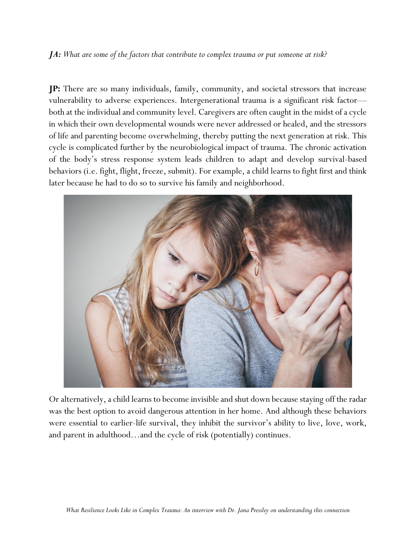### *JA: What are some of the factors that contribute to complex trauma or put someone at risk?*

**JP:** There are so many individuals, family, community, and societal stressors that increase vulnerability to adverse experiences. Intergenerational trauma is a significant risk factor both at the individual and community level. Caregivers are often caught in the midst of a cycle in which their own developmental wounds were never addressed or healed, and the stressors of life and parenting become overwhelming, thereby putting the next generation at risk. This cycle is complicated further by the neurobiological impact of trauma. The chronic activation of the body's stress response system leads children to adapt and develop survival-based behaviors (i.e. fight, flight, freeze, submit). For example, a child learns to fight first and think later because he had to do so to survive his family and neighborhood.



Or alternatively, a child learns to become invisible and shut down because staying off the radar was the best option to avoid dangerous attention in her home. And although these behaviors were essential to earlier-life survival, they inhibit the survivor's ability to live, love, work, and parent in adulthood…and the cycle of risk (potentially) continues.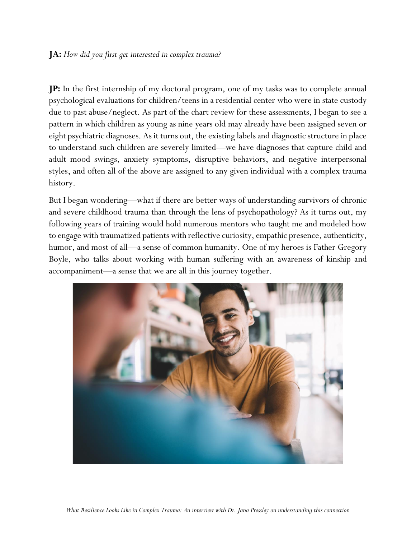## **JA:** *How did you first get interested in complex trauma?*

**JP:** In the first internship of my doctoral program, one of my tasks was to complete annual psychological evaluations for children/teens in a residential center who were in state custody due to past abuse/neglect. As part of the chart review for these assessments, I began to see a pattern in which children as young as nine years old may already have been assigned seven or eight psychiatric diagnoses. As it turns out, the existing labels and diagnostic structure in place to understand such children are severely limited—we have diagnoses that capture child and adult mood swings, anxiety symptoms, disruptive behaviors, and negative interpersonal styles, and often all of the above are assigned to any given individual with a complex trauma history.

But I began wondering—what if there are better ways of understanding survivors of chronic and severe childhood trauma than through the lens of psychopathology? As it turns out, my following years of training would hold numerous mentors who taught me and modeled how to engage with traumatized patients with reflective curiosity, empathic presence, authenticity, humor, and most of all—a sense of common humanity. One of my heroes is Father Gregory Boyle, who talks about working with human suffering with an awareness of kinship and accompaniment—a sense that we are all in this journey together.

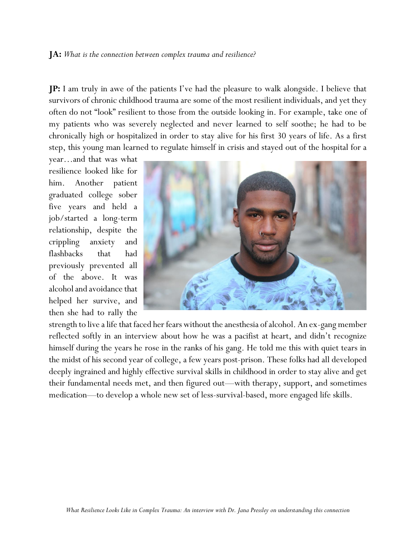#### **JA:** *What is the connection between complex trauma and resilience?*

**JP:** I am truly in awe of the patients I've had the pleasure to walk alongside. I believe that survivors of chronic childhood trauma are some of the most resilient individuals, and yet they often do not "look" resilient to those from the outside looking in. For example, take one of my patients who was severely neglected and never learned to self soothe; he had to be chronically high or hospitalized in order to stay alive for his first 30 years of life. As a first step, this young man learned to regulate himself in crisis and stayed out of the hospital for a

year…and that was what resilience looked like for him. Another patient graduated college sober five years and held a job/started a long-term relationship, despite the crippling anxiety and flashbacks that had previously prevented all of the above. It was alcohol and avoidance that helped her survive, and then she had to rally the



strength to live a life that faced her fears without the anesthesia of alcohol. An ex-gang member reflected softly in an interview about how he was a pacifist at heart, and didn't recognize himself during the years he rose in the ranks of his gang. He told me this with quiet tears in the midst of his second year of college, a few years post-prison. These folks had all developed deeply ingrained and highly effective survival skills in childhood in order to stay alive and get their fundamental needs met, and then figured out—with therapy, support, and sometimes medication—to develop a whole new set of less-survival-based, more engaged life skills.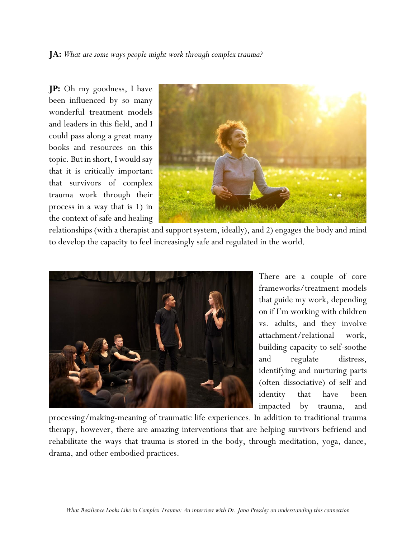**JA:** *What are some ways people might work through complex trauma?*

**JP:** Oh my goodness, I have been influenced by so many wonderful treatment models and leaders in this field, and I could pass along a great many books and resources on this topic. But in short, I would say that it is critically important that survivors of complex trauma work through their process in a way that is 1) in the context of safe and healing



relationships (with a therapist and support system, ideally), and 2) engages the body and mind to develop the capacity to feel increasingly safe and regulated in the world.



There are a couple of core frameworks/treatment models that guide my work, depending on if I'm working with children vs. adults, and they involve attachment/relational work, building capacity to self-soothe and regulate distress, identifying and nurturing parts (often dissociative) of self and identity that have been impacted by trauma, and

processing/making-meaning of traumatic life experiences. In addition to traditional trauma therapy, however, there are amazing interventions that are helping survivors befriend and rehabilitate the ways that trauma is stored in the body, through meditation, yoga, dance, drama, and other embodied practices.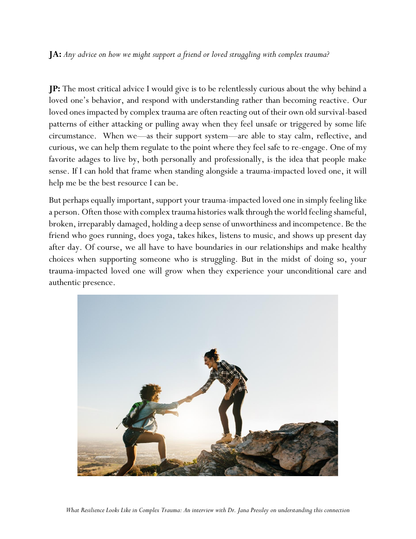## **JA:** *Any advice on how we might support a friend or loved struggling with complex trauma?*

**JP:** The most critical advice I would give is to be relentlessly curious about the why behind a loved one's behavior, and respond with understanding rather than becoming reactive. Our loved ones impacted by complex trauma are often reacting out of their own old survival-based patterns of either attacking or pulling away when they feel unsafe or triggered by some life circumstance. When we—as their support system—are able to stay calm, reflective, and curious, we can help them regulate to the point where they feel safe to re-engage. One of my favorite adages to live by, both personally and professionally, is the idea that people make sense. If I can hold that frame when standing alongside a trauma-impacted loved one, it will help me be the best resource I can be.

But perhaps equally important, support your trauma-impacted loved one in simply feeling like a person. Often those with complex trauma histories walk through the world feeling shameful, broken, irreparably damaged, holding a deep sense of unworthiness and incompetence. Be the friend who goes running, does yoga, takes hikes, listens to music, and shows up present day after day. Of course, we all have to have boundaries in our relationships and make healthy choices when supporting someone who is struggling. But in the midst of doing so, your trauma-impacted loved one will grow when they experience your unconditional care and authentic presence.